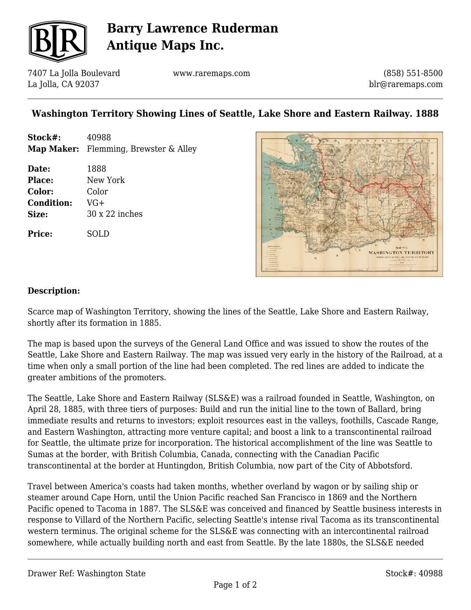

# **Barry Lawrence Ruderman Antique Maps Inc.**

7407 La Jolla Boulevard La Jolla, CA 92037

www.raremaps.com

(858) 551-8500 blr@raremaps.com

### **Washington Territory Showing Lines of Seattle, Lake Shore and Eastern Railway. 1888**

| Stock#:           | 40988                                 |
|-------------------|---------------------------------------|
|                   | Map Maker: Flemming, Brewster & Alley |
|                   |                                       |
| Date:             | 1888                                  |
| Place:            | New York                              |
| Color:            | Color                                 |
| <b>Condition:</b> | $VG+$                                 |
| Size:             | $30 \times 22$ inches                 |
|                   |                                       |

**Price:** SOLD



#### **Description:**

Scarce map of Washington Territory, showing the lines of the Seattle, Lake Shore and Eastern Railway, shortly after its formation in 1885.

The map is based upon the surveys of the General Land Office and was issued to show the routes of the Seattle, Lake Shore and Eastern Railway. The map was issued very early in the history of the Railroad, at a time when only a small portion of the line had been completed. The red lines are added to indicate the greater ambitions of the promoters.

The Seattle, Lake Shore and Eastern Railway (SLS&E) was a railroad founded in Seattle, Washington, on April 28, 1885, with three tiers of purposes: Build and run the initial line to the town of Ballard, bring immediate results and returns to investors; exploit resources east in the valleys, foothills, Cascade Range, and Eastern Washington, attracting more venture capital; and boost a link to a transcontinental railroad for Seattle, the ultimate prize for incorporation. The historical accomplishment of the line was Seattle to Sumas at the border, with British Columbia, Canada, connecting with the Canadian Pacific transcontinental at the border at Huntingdon, British Columbia, now part of the City of Abbotsford.

Travel between America's coasts had taken months, whether overland by wagon or by sailing ship or steamer around Cape Horn, until the Union Pacific reached San Francisco in 1869 and the Northern Pacific opened to Tacoma in 1887. The SLS&E was conceived and financed by Seattle business interests in response to Villard of the Northern Pacific, selecting Seattle's intense rival Tacoma as its transcontinental western terminus. The original scheme for the SLS&E was connecting with an intercontinental railroad somewhere, while actually building north and east from Seattle. By the late 1880s, the SLS&E needed